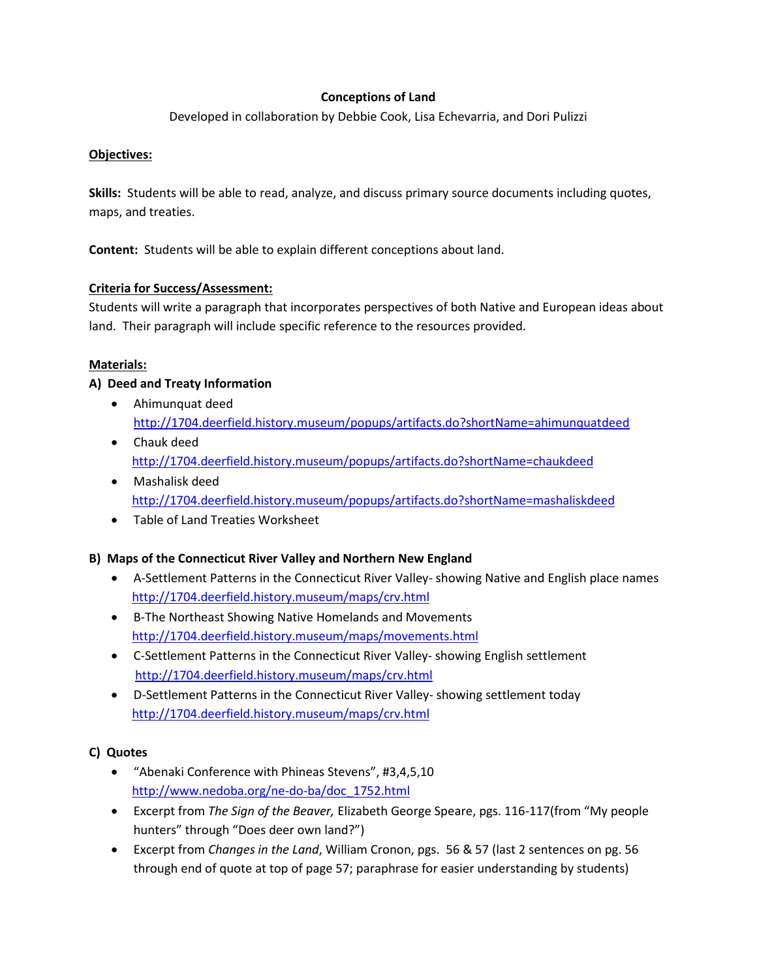### **Conceptions of Land**

Developed in collaboration by Debbie Cook, Lisa Echevarria, and Dori Pulizzi

#### **Objectives:**

**Skills:** Students will be able to read, analyze, and discuss primary source documents including quotes, maps, and treaties.

**Content:** Students will be able to explain different conceptions about land.

#### **Criteria for Success/Assessment:**

Students will write a paragraph that incorporates perspectives of both Native and European ideas about land. Their paragraph will include specific reference to the resources provided.

#### **Materials:**

#### **A) Deed and Treaty Information**

- Ahimunquat deed <http://1704.deerfield.history.museum/popups/artifacts.do?shortName=ahimunquatdeed>
- Chauk deed <http://1704.deerfield.history.museum/popups/artifacts.do?shortName=chaukdeed>
- Mashalisk deed <http://1704.deerfield.history.museum/popups/artifacts.do?shortName=mashaliskdeed>
- Table of Land Treaties Worksheet

## **B) Maps of the Connecticut River Valley and Northern New England**

- A-Settlement Patterns in the Connecticut River Valley- showing Native and English place names <http://1704.deerfield.history.museum/maps/crv.html>
- B-The Northeast Showing Native Homelands and Movements <http://1704.deerfield.history.museum/maps/movements.html>
- C-Settlement Patterns in the Connecticut River Valley- showing English settlement <http://1704.deerfield.history.museum/maps/crv.html>
- D-Settlement Patterns in the Connecticut River Valley- showing settlement today <http://1704.deerfield.history.museum/maps/crv.html>

## **C) Quotes**

- "Abenaki Conference with Phineas Stevens", #3,4,5,10 [http://www.nedoba.org/ne-do-ba/doc\\_1752.html](http://www.nedoba.org/ne-do-ba/doc_1752.html)
- Excerpt from *The Sign of the Beaver,* Elizabeth George Speare, pgs. 116-117(from "My people hunters" through "Does deer own land?")
- Excerpt from *Changes in the Land*, William Cronon, pgs. 56 & 57 (last 2 sentences on pg. 56 through end of quote at top of page 57; paraphrase for easier understanding by students)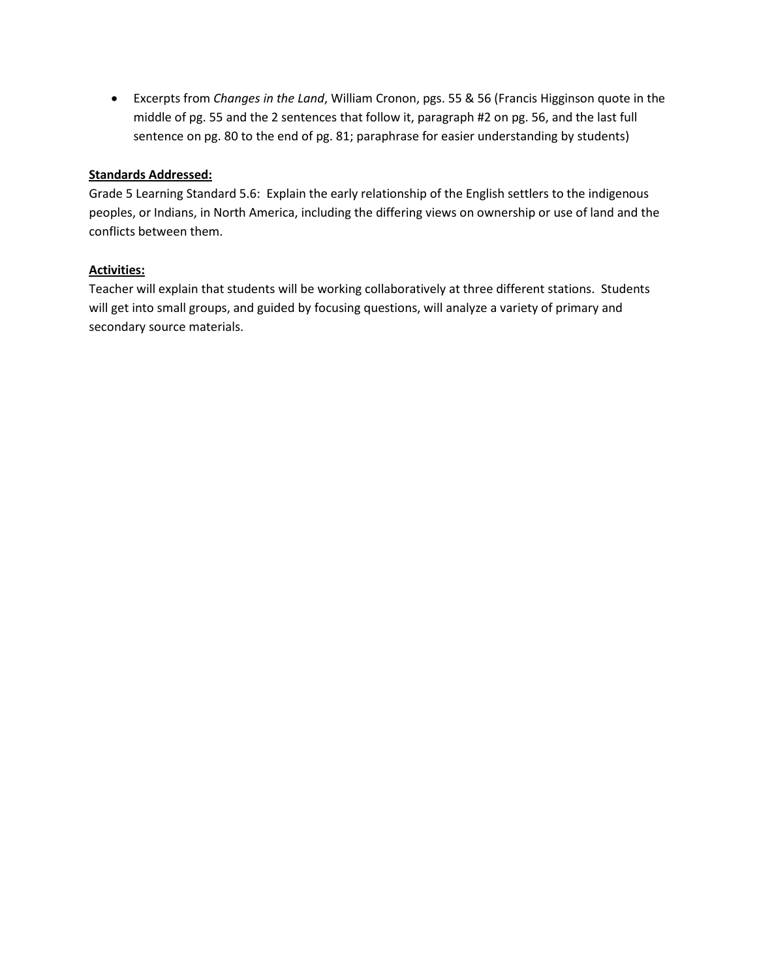• Excerpts from *Changes in the Land*, William Cronon, pgs. 55 & 56 (Francis Higginson quote in the middle of pg. 55 and the 2 sentences that follow it, paragraph #2 on pg. 56, and the last full sentence on pg. 80 to the end of pg. 81; paraphrase for easier understanding by students)

#### **Standards Addressed:**

Grade 5 Learning Standard 5.6: Explain the early relationship of the English settlers to the indigenous peoples, or Indians, in North America, including the differing views on ownership or use of land and the conflicts between them.

#### **Activities:**

Teacher will explain that students will be working collaboratively at three different stations. Students will get into small groups, and guided by focusing questions, will analyze a variety of primary and secondary source materials.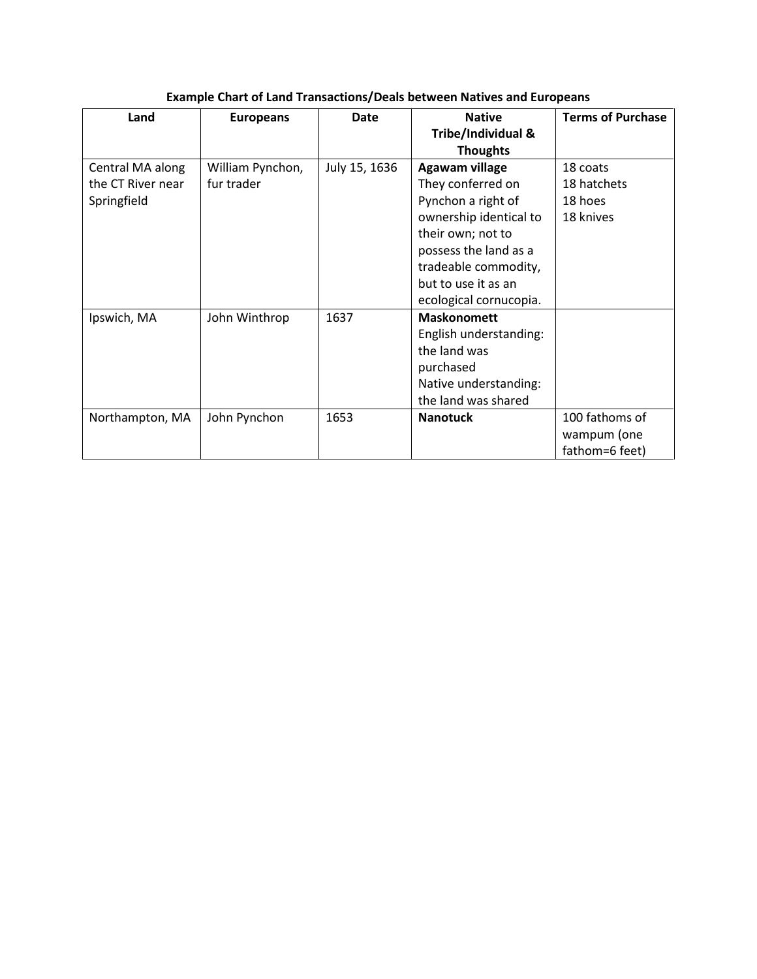| Land              | <b>Europeans</b> | <b>Date</b>   | <b>Native</b>          | <b>Terms of Purchase</b> |
|-------------------|------------------|---------------|------------------------|--------------------------|
|                   |                  |               | Tribe/Individual &     |                          |
|                   |                  |               | <b>Thoughts</b>        |                          |
| Central MA along  | William Pynchon, | July 15, 1636 | Agawam village         | 18 coats                 |
| the CT River near | fur trader       |               | They conferred on      | 18 hatchets              |
| Springfield       |                  |               | Pynchon a right of     | 18 hoes                  |
|                   |                  |               | ownership identical to | 18 knives                |
|                   |                  |               | their own; not to      |                          |
|                   |                  |               | possess the land as a  |                          |
|                   |                  |               | tradeable commodity,   |                          |
|                   |                  |               | but to use it as an    |                          |
|                   |                  |               | ecological cornucopia. |                          |
| Ipswich, MA       | John Winthrop    | 1637          | <b>Maskonomett</b>     |                          |
|                   |                  |               | English understanding: |                          |
|                   |                  |               | the land was           |                          |
|                   |                  |               | purchased              |                          |
|                   |                  |               | Native understanding:  |                          |
|                   |                  |               | the land was shared    |                          |
| Northampton, MA   | John Pynchon     | 1653          | <b>Nanotuck</b>        | 100 fathoms of           |
|                   |                  |               |                        | wampum (one              |
|                   |                  |               |                        | fathom=6 feet)           |

# **Example Chart of Land Transactions/Deals between Natives and Europeans**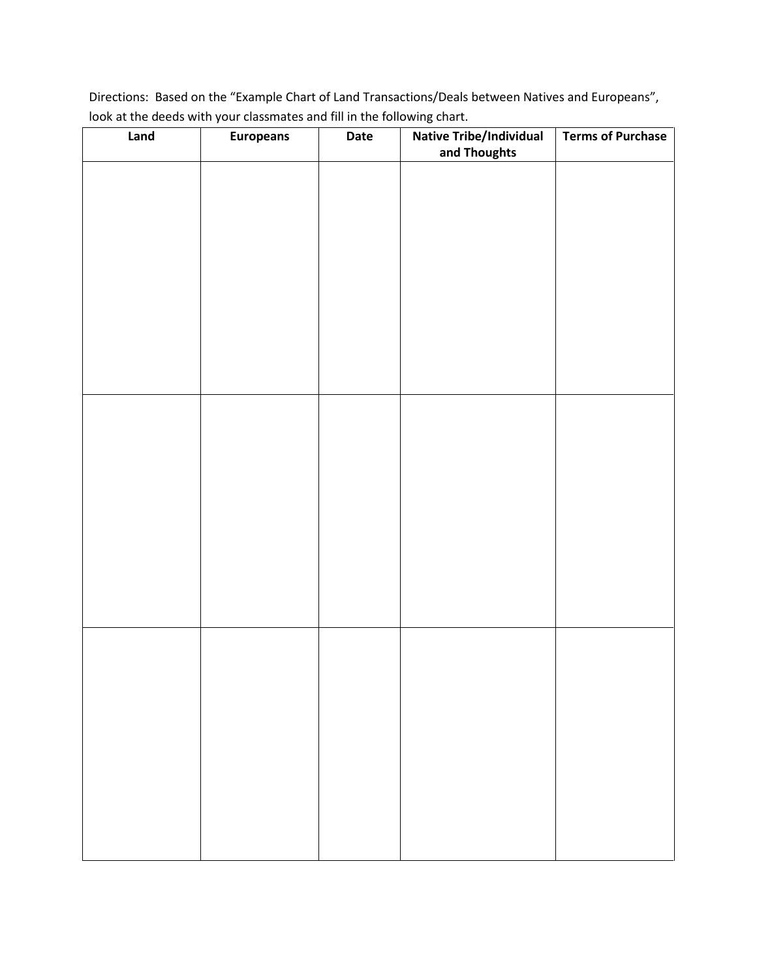Directions: Based on the "Example Chart of Land Transactions/Deals between Natives and Europeans", look at the deeds with your classmates and fill in the following chart.

| Land | Europeans | Date | <b>Native Tribe/Individual</b><br>and Thoughts | <b>Terms of Purchase</b> |
|------|-----------|------|------------------------------------------------|--------------------------|
|      |           |      |                                                |                          |
|      |           |      |                                                |                          |
|      |           |      |                                                |                          |
|      |           |      |                                                |                          |
|      |           |      |                                                |                          |
|      |           |      |                                                |                          |
|      |           |      |                                                |                          |
|      |           |      |                                                |                          |
|      |           |      |                                                |                          |
|      |           |      |                                                |                          |
|      |           |      |                                                |                          |
|      |           |      |                                                |                          |
|      |           |      |                                                |                          |
|      |           |      |                                                |                          |
|      |           |      |                                                |                          |
|      |           |      |                                                |                          |
|      |           |      |                                                |                          |
|      |           |      |                                                |                          |
|      |           |      |                                                |                          |
|      |           |      |                                                |                          |
|      |           |      |                                                |                          |
|      |           |      |                                                |                          |
|      |           |      |                                                |                          |
|      |           |      |                                                |                          |
|      |           |      |                                                |                          |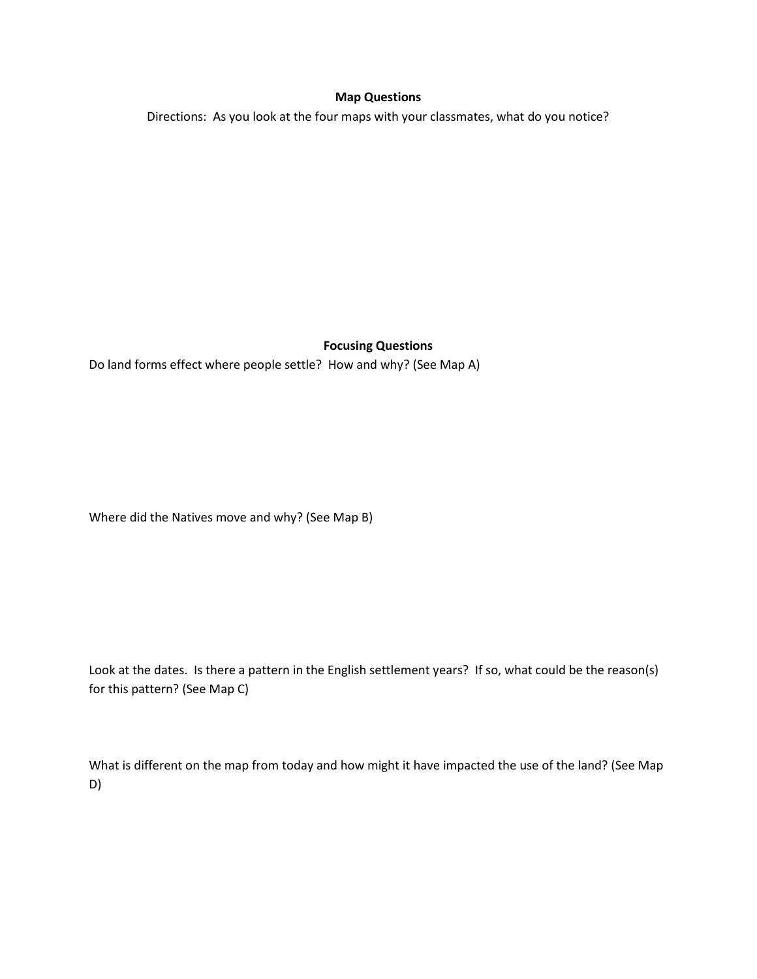#### **Map Questions**

Directions: As you look at the four maps with your classmates, what do you notice?

#### **Focusing Questions**

Do land forms effect where people settle? How and why? (See Map A)

Where did the Natives move and why? (See Map B)

Look at the dates. Is there a pattern in the English settlement years? If so, what could be the reason(s) for this pattern? (See Map C)

What is different on the map from today and how might it have impacted the use of the land? (See Map D)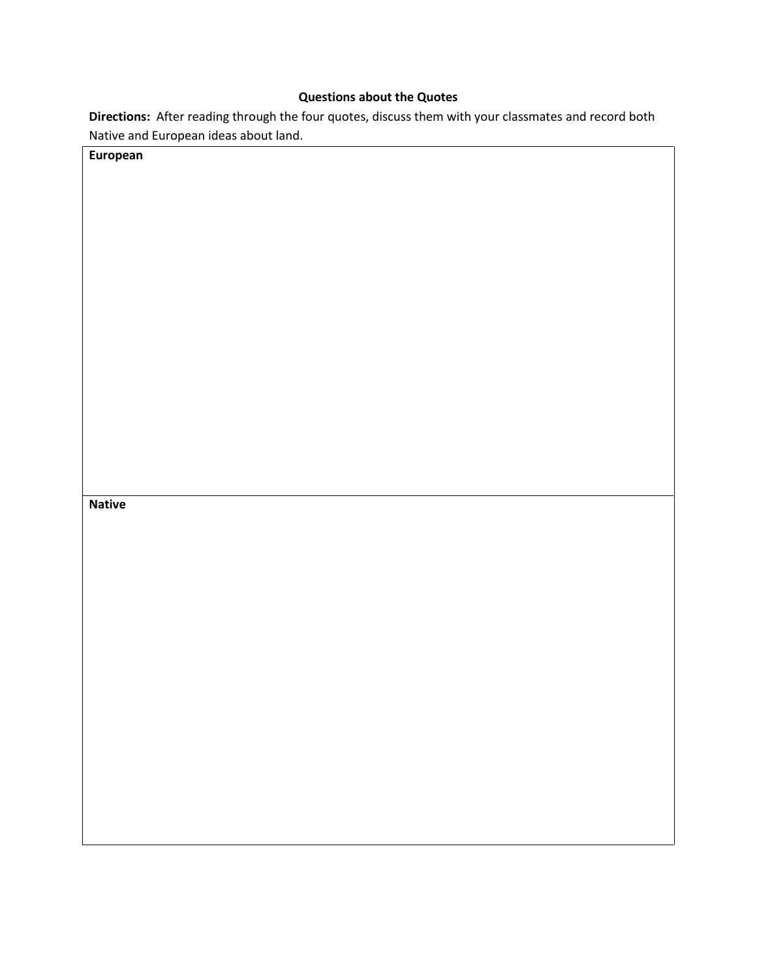## **Questions about the Quotes**

**Directions:** After reading through the four quotes, discuss them with your classmates and record both Native and European ideas about land.

| European      |  |
|---------------|--|
|               |  |
|               |  |
|               |  |
|               |  |
|               |  |
|               |  |
|               |  |
|               |  |
|               |  |
|               |  |
|               |  |
|               |  |
|               |  |
|               |  |
|               |  |
|               |  |
|               |  |
|               |  |
|               |  |
|               |  |
|               |  |
| <b>Native</b> |  |
|               |  |
|               |  |
|               |  |
|               |  |
|               |  |
|               |  |
|               |  |
|               |  |
|               |  |
|               |  |
|               |  |
|               |  |
|               |  |
|               |  |
|               |  |
|               |  |
|               |  |
|               |  |
|               |  |
|               |  |
|               |  |
|               |  |